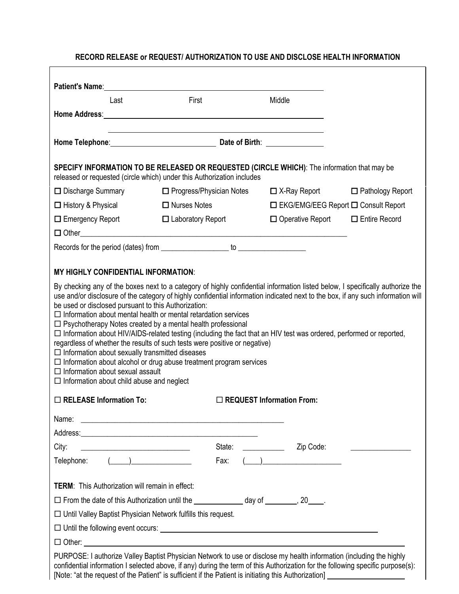## **RECORD RELEASE or REQUEST/ AUTHORIZATION TO USE AND DISCLOSE HEALTH INFORMATION**

| Patient's Name: Name: Name: Name: Name: Name: Name: Name: Name: Name: Name: Name: Name: Name: Name: Name: Name: Name: Name: Name: Name: Name: Name: Name: Name: Name: Name: Name: Name: Name: Name: Name: Name: Name: Name: Na                                                                                                                                                                                                                                                                                                                                                                                                                                                                                                                                                       |                                                                                                                      |  |                                                    |                                                 |
|--------------------------------------------------------------------------------------------------------------------------------------------------------------------------------------------------------------------------------------------------------------------------------------------------------------------------------------------------------------------------------------------------------------------------------------------------------------------------------------------------------------------------------------------------------------------------------------------------------------------------------------------------------------------------------------------------------------------------------------------------------------------------------------|----------------------------------------------------------------------------------------------------------------------|--|----------------------------------------------------|-------------------------------------------------|
| Last                                                                                                                                                                                                                                                                                                                                                                                                                                                                                                                                                                                                                                                                                                                                                                                 | First                                                                                                                |  | Middle                                             |                                                 |
|                                                                                                                                                                                                                                                                                                                                                                                                                                                                                                                                                                                                                                                                                                                                                                                      |                                                                                                                      |  |                                                    |                                                 |
|                                                                                                                                                                                                                                                                                                                                                                                                                                                                                                                                                                                                                                                                                                                                                                                      |                                                                                                                      |  |                                                    |                                                 |
| SPECIFY INFORMATION TO BE RELEASED OR REQUESTED (CIRCLE WHICH): The information that may be<br>released or requested (circle which) under this Authorization includes                                                                                                                                                                                                                                                                                                                                                                                                                                                                                                                                                                                                                |                                                                                                                      |  |                                                    |                                                 |
| $\Box$ Discharge Summary                                                                                                                                                                                                                                                                                                                                                                                                                                                                                                                                                                                                                                                                                                                                                             | $\Box$ Progress/Physician Notes $\Box$ X-Ray Report $\Box$ Pathology Report                                          |  |                                                    |                                                 |
| □ History & Physical                                                                                                                                                                                                                                                                                                                                                                                                                                                                                                                                                                                                                                                                                                                                                                 | $\Box$ Nurses Notes                                                                                                  |  |                                                    | $\Box$ EKG/EMG/EEG Report $\Box$ Consult Report |
| $\Box$ Emergency Report                                                                                                                                                                                                                                                                                                                                                                                                                                                                                                                                                                                                                                                                                                                                                              | $\Box$ Laboratory Report                                                                                             |  | $\Box$ Operative Report $\Box$ Entire Record       |                                                 |
|                                                                                                                                                                                                                                                                                                                                                                                                                                                                                                                                                                                                                                                                                                                                                                                      |                                                                                                                      |  |                                                    |                                                 |
|                                                                                                                                                                                                                                                                                                                                                                                                                                                                                                                                                                                                                                                                                                                                                                                      |                                                                                                                      |  |                                                    |                                                 |
|                                                                                                                                                                                                                                                                                                                                                                                                                                                                                                                                                                                                                                                                                                                                                                                      |                                                                                                                      |  |                                                    |                                                 |
| <b>MY HIGHLY CONFIDENTIAL INFORMATION:</b>                                                                                                                                                                                                                                                                                                                                                                                                                                                                                                                                                                                                                                                                                                                                           |                                                                                                                      |  |                                                    |                                                 |
| use and/or disclosure of the category of highly confidential information indicated next to the box, if any such information will<br>be used or disclosed pursuant to this Authorization:<br>$\Box$ Information about mental health or mental retardation services<br>$\Box$ Psychotherapy Notes created by a mental health professional<br>□ Information about HIV/AIDS-related testing (including the fact that an HIV test was ordered, performed or reported,<br>regardless of whether the results of such tests were positive or negative)<br>$\Box$ Information about sexually transmitted diseases<br>$\Box$ Information about alcohol or drug abuse treatment program services<br>$\Box$ Information about sexual assault<br>$\Box$ Information about child abuse and neglect |                                                                                                                      |  |                                                    |                                                 |
| $\Box$ RELEASE Information To:<br>$\Box$ REQUEST Information From:                                                                                                                                                                                                                                                                                                                                                                                                                                                                                                                                                                                                                                                                                                                   |                                                                                                                      |  |                                                    |                                                 |
| Name:                                                                                                                                                                                                                                                                                                                                                                                                                                                                                                                                                                                                                                                                                                                                                                                | <u> 1999 - Jan James James James James James James James James James James James James James James James James J</u> |  |                                                    |                                                 |
| City:                                                                                                                                                                                                                                                                                                                                                                                                                                                                                                                                                                                                                                                                                                                                                                                | State:                                                                                                               |  | Zip Code:                                          |                                                 |
| Telephone:                                                                                                                                                                                                                                                                                                                                                                                                                                                                                                                                                                                                                                                                                                                                                                           | Fax:                                                                                                                 |  | $\left(\begin{array}{cc} 0 & 0 \end{array}\right)$ |                                                 |
| <b>TERM:</b> This Authorization will remain in effect:                                                                                                                                                                                                                                                                                                                                                                                                                                                                                                                                                                                                                                                                                                                               |                                                                                                                      |  |                                                    |                                                 |
| □ From the date of this Authorization until the _______________ day of ________, 20____.                                                                                                                                                                                                                                                                                                                                                                                                                                                                                                                                                                                                                                                                                             |                                                                                                                      |  |                                                    |                                                 |
| $\Box$ Until Valley Baptist Physician Network fulfills this request.                                                                                                                                                                                                                                                                                                                                                                                                                                                                                                                                                                                                                                                                                                                 |                                                                                                                      |  |                                                    |                                                 |
|                                                                                                                                                                                                                                                                                                                                                                                                                                                                                                                                                                                                                                                                                                                                                                                      |                                                                                                                      |  |                                                    |                                                 |
|                                                                                                                                                                                                                                                                                                                                                                                                                                                                                                                                                                                                                                                                                                                                                                                      |                                                                                                                      |  |                                                    |                                                 |
| PURPOSE: I authorize Valley Baptist Physician Network to use or disclose my health information (including the highly<br>confidential information I selected above, if any) during the term of this Authorization for the following specific purpose(s):                                                                                                                                                                                                                                                                                                                                                                                                                                                                                                                              |                                                                                                                      |  |                                                    |                                                 |

[Note: "at the request of the Patient" is sufficient if the Patient is initiating this Authorization]